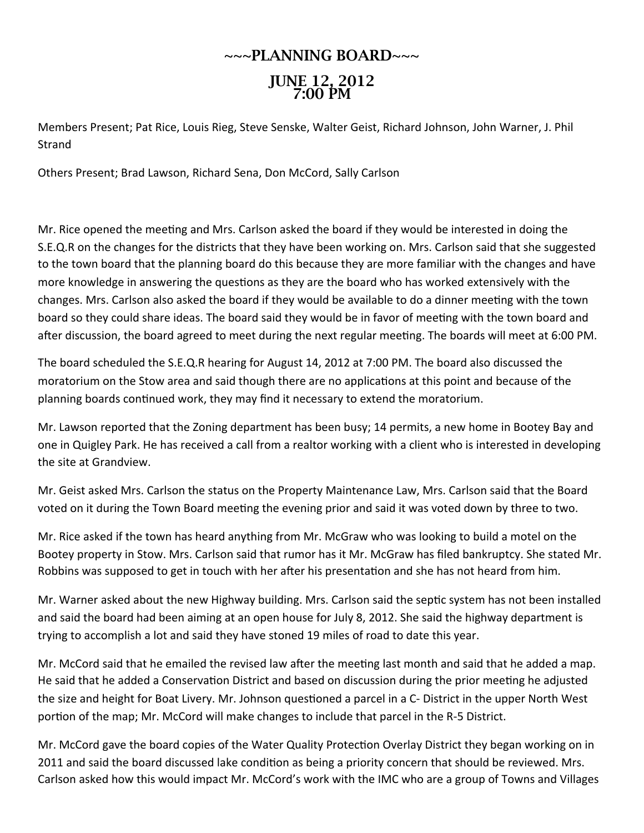## $\sim$ ~PLANNING BOARD~~~

## JUNE 12, 2012<br>7:00 PM

Members Present; Pat Rice, Louis Rieg, Steve Senske, Walter Geist, Richard Johnson, John Warner, J. Phil Strand

Others Present; Brad Lawson, Richard Sena, Don McCord, Sally Carlson

Mr. Rice opened the meeting and Mrs. Carlson asked the board if they would be interested in doing the S.E.Q.R on the changes for the districts that they have been working on. Mrs. Carlson said that she suggested to the town board that the planning board do this because they are more familiar with the changes and have more knowledge in answering the questions as they are the board who has worked extensively with the changes. Mrs. Carlson also asked the board if they would be available to do a dinner meeting with the town board so they could share ideas. The board said they would be in favor of meeting with the town board and after discussion, the board agreed to meet during the next regular meeting. The boards will meet at 6:00 PM.

The board scheduled the S.E.Q.R hearing for August 14, 2012 at 7:00 PM. The board also discussed the moratorium on the Stow area and said though there are no applications at this point and because of the planning boards continued work, they may find it necessary to extend the moratorium.

Mr. Lawson reported that the Zoning department has been busy; 14 permits, a new home in Bootey Bay and one in Quigley Park. He has received a call from a realtor working with a client who is interested in developing the site at Grandview.

Mr. Geist asked Mrs. Carlson the status on the Property Maintenance Law, Mrs. Carlson said that the Board voted on it during the Town Board meeting the evening prior and said it was voted down by three to two.

Mr. Rice asked if the town has heard anything from Mr. McGraw who was looking to build a motel on the Bootey property in Stow. Mrs. Carlson said that rumor has it Mr. McGraw has filed bankruptcy. She stated Mr. Robbins was supposed to get in touch with her after his presentation and she has not heard from him.

Mr. Warner asked about the new Highway building. Mrs. Carlson said the septic system has not been installed and said the board had been aiming at an open house for July 8, 2012. She said the highway department is trying to accomplish a lot and said they have stoned 19 miles of road to date this year.

Mr. McCord said that he emailed the revised law after the meeting last month and said that he added a map. He said that he added a Conservation District and based on discussion during the prior meeting he adjusted the size and height for Boat Livery. Mr. Johnson questioned a parcel in a C- District in the upper North West portion of the map; Mr. McCord will make changes to include that parcel in the R-5 District.

Mr. McCord gave the board copies of the Water Quality Protection Overlay District they began working on in 2011 and said the board discussed lake condition as being a priority concern that should be reviewed. Mrs. Carlson asked how this would impact Mr. McCord's work with the IMC who are a group of Towns and Villages